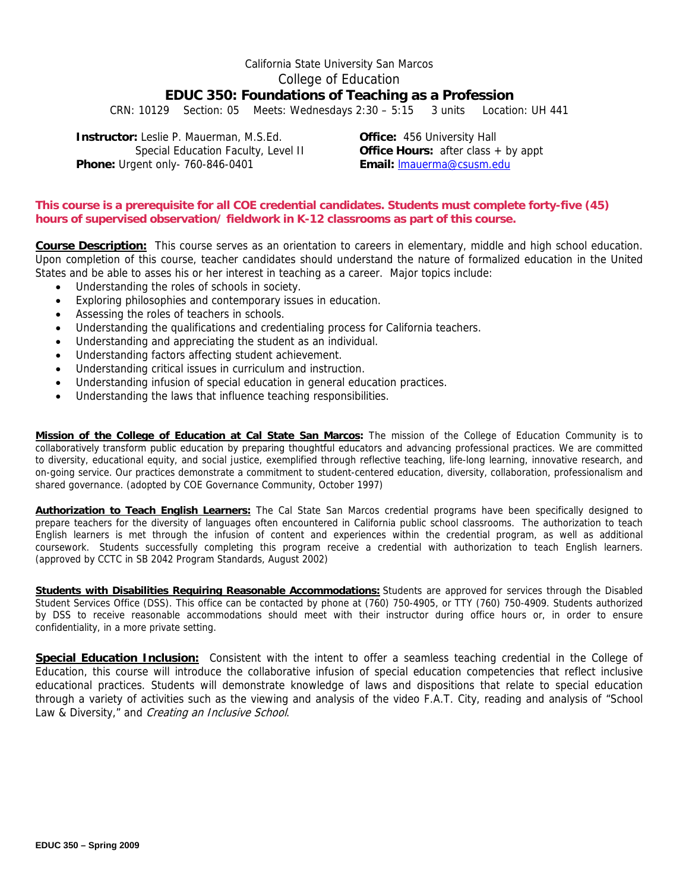# California State University San Marcos College of Education **EDUC 350: Foundations of Teaching as a Profession**

CRN: 10129 Section: 05 Meets: Wednesdays 2:30 – 5:15 3 units Location: UH 441

**Phone:** Urgent only- 760-846-0401 **Email: Email: Imauerma@csusm.edu Instructor:** Leslie P. Mauerman, M.S.Ed. **Office:** 456 University Hall

Special Education Faculty, Level II **Office Hours:** after class + by appt

# **This course is a prerequisite for all COE credential candidates. Students must complete forty-five (45) hours of supervised observation/ fieldwork in K-12 classrooms as part of this course.**

**Course Description:** This course serves as an orientation to careers in elementary, middle and high school education. Upon completion of this course, teacher candidates should understand the nature of formalized education in the United States and be able to asses his or her interest in teaching as a career. Major topics include:

- Understanding the roles of schools in society.
- Exploring philosophies and contemporary issues in education.
- Assessing the roles of teachers in schools.
- Understanding the qualifications and credentialing process for California teachers.
- Understanding and appreciating the student as an individual.
- Understanding factors affecting student achievement.
- Understanding critical issues in curriculum and instruction.
- Understanding infusion of special education in general education practices.
- Understanding the laws that influence teaching responsibilities.

**Mission of the College of Education at Cal State San Marcos:** The mission of the College of Education Community is to collaboratively transform public education by preparing thoughtful educators and advancing professional practices. We are committed to diversity, educational equity, and social justice, exemplified through reflective teaching, life-long learning, innovative research, and on-going service. Our practices demonstrate a commitment to student-centered education, diversity, collaboration, professionalism and shared governance. (adopted by COE Governance Community, October 1997)

coursework. Students successfully completing this program receive a credential with authorization to teach English learners.<br>(approved by CCTC in SB 2042 Program Standards, August 2002) **Authorization to Teach English Learners:** The Cal State San Marcos credential programs have been specifically designed to prepare teachers for the diversity of languages often encountered in California public school classrooms. The authorization to teach English learners is met through the infusion of content and experiences within the credential program, as well as additional

**Students with Disabilities Requiring Reasonable Accommodations:** Students are approved for services through the Disabled Student Services Office (DSS). This office can be contacted by phone at (760) 750-4905, or TTY (760) 750-4909. Students authorized by DSS to receive reasonable accommodations should meet with their instructor during office hours or, in order to ensure confidentiality, in a more private setting.

 **Special Education Inclusion:** Consistent with the intent to offer a seamless teaching credential in the College of Education, this course will introduce the collaborative infusion of special education competencies that reflect inclusive educational practices. Students will demonstrate knowledge of laws and dispositions that relate to special education through a variety of activities such as the viewing and analysis of the video F.A.T. City, reading and analysis of "School Law & Diversity," and Creating an Inclusive School.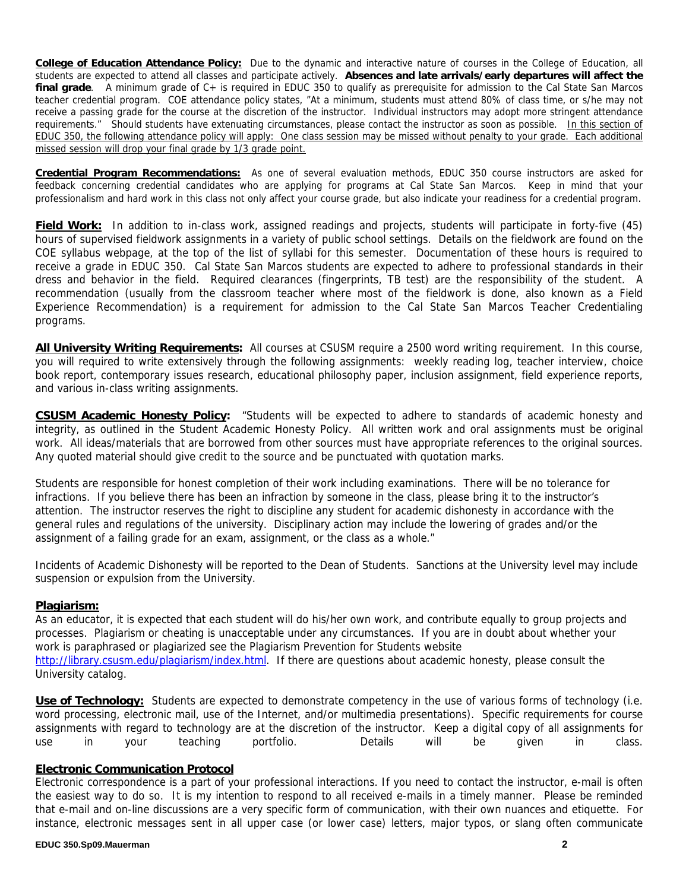**College of Education Attendance Policy:** Due to the dynamic and interactive nature of courses in the College of Education, all students are expected to attend all classes and participate actively. **Absences and late arrivals/early departures will affect the final grade**. A minimum grade of C+ is required in EDUC 350 to qualify as prerequisite for admission to the Cal State San Marcos teacher credential program. COE attendance policy states, "At a minimum, students must attend 80% of class time, or s/he may not receive a passing grade for the course at the discretion of the instructor. Individual instructors may adopt more stringent attendance requirements." Should students have extenuating circumstances, please contact the instructor as soon as possible. In this section of EDUC 350, the following attendance policy will apply: One class session may be missed without penalty to your grade. Each additional missed session will drop your final grade by 1/3 grade point.

**Credential Program Recommendations:** As one of several evaluation methods, EDUC 350 course instructors are asked for feedback concerning credential candidates who are applying for programs at Cal State San Marcos. Keep in mind that your professionalism and hard work in this class not only affect your course grade, but also indicate your readiness for a credential program.

**Field Work:** In addition to in-class work, assigned readings and projects, students will participate in forty-five (45) hours of supervised fieldwork assignments in a variety of public school settings. Details on the fieldwork are found on the COE syllabus webpage, at the top of the list of syllabi for this semester. Documentation of these hours is required to receive a grade in EDUC 350. Cal State San Marcos students are expected to adhere to professional standards in their dress and behavior in the field. Required clearances (fingerprints, TB test) are the responsibility of the student. A recommendation (usually from the classroom teacher where most of the fieldwork is done, also known as a Field Experience Recommendation) is a requirement for admission to the Cal State San Marcos Teacher Credentialing programs.

**All University Writing Requirements:** All courses at CSUSM require a 2500 word writing requirement. In this course, you will required to write extensively through the following assignments: weekly reading log, teacher interview, choice book report, contemporary issues research, educational philosophy paper, inclusion assignment, field experience reports, and various in-class writing assignments.

**CSUSM Academic Honesty Policy:** "Students will be expected to adhere to standards of academic honesty and integrity, as outlined in the Student Academic Honesty Policy. All written work and oral assignments must be original work. All ideas/materials that are borrowed from other sources must have appropriate references to the original sources. Any quoted material should give credit to the source and be punctuated with quotation marks.

Students are responsible for honest completion of their work including examinations. There will be no tolerance for infractions. If you believe there has been an infraction by someone in the class, please bring it to the instructor's attention. The instructor reserves the right to discipline any student for academic dishonesty in accordance with the general rules and regulations of the university. Disciplinary action may include the lowering of grades and/or the assignment of a failing grade for an exam, assignment, or the class as a whole."

Incidents of Academic Dishonesty will be reported to the Dean of Students. Sanctions at the University level may include suspension or expulsion from the University.

# **Plagiarism:**

As an educator, it is expected that each student will do his/her own work, and contribute equally to group projects and processes. Plagiarism or cheating is unacceptable under any circumstances. If you are in doubt about whether your work is paraphrased or plagiarized see the Plagiarism Prevention for Students website http://library.csusm.edu/plagiarism/index.html. If there are questions about academic honesty, please consult the University catalog.

**Use of Technology:** Students are expected to demonstrate competency in the use of various forms of technology (i.e. word processing, electronic mail, use of the Internet, and/or multimedia presentations). Specific requirements for course assignments with regard to technology are at the discretion of the instructor. Keep a digital copy of all assignments for use in your teaching portfolio. Details will be given in class.

# **Electronic Communication Protocol**

Electronic correspondence is a part of your professional interactions. If you need to contact the instructor, e-mail is often the easiest way to do so. It is my intention to respond to all received e-mails in a timely manner. Please be reminded that e-mail and on-line discussions are a very specific form of communication, with their own nuances and etiquette. For instance, electronic messages sent in all upper case (or lower case) letters, major typos, or slang often communicate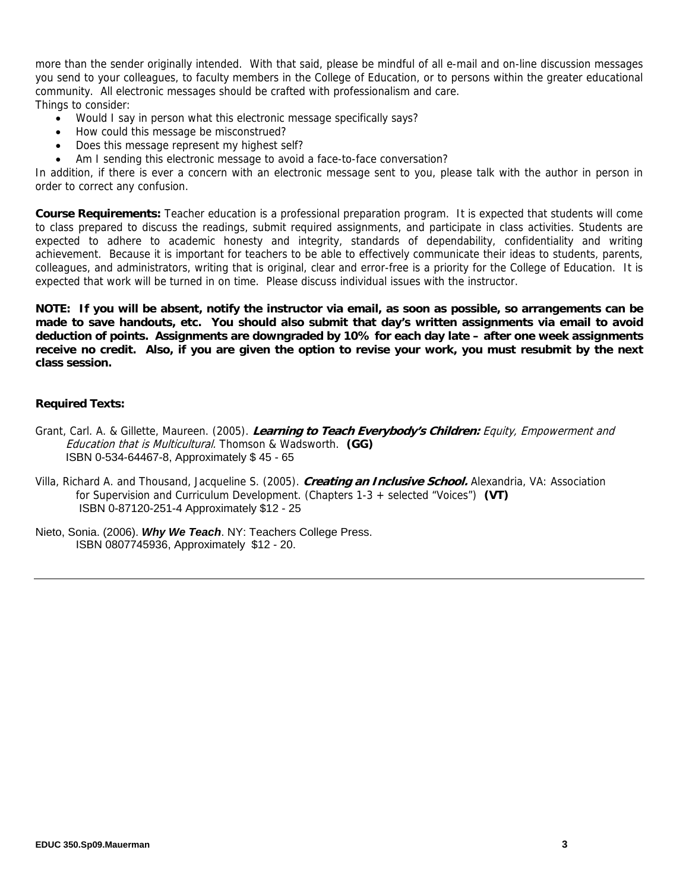more than the sender originally intended. With that said, please be mindful of all e-mail and on-line discussion messages you send to your colleagues, to faculty members in the College of Education, or to persons within the greater educational community. All electronic messages should be crafted with professionalism and care. Things to consider:

- Would I say in person what this electronic message specifically says?
- How could this message be misconstrued?
- Does this message represent my highest self?
- Am I sending this electronic message to avoid a face-to-face conversation?

In addition, if there is ever a concern with an electronic message sent to you, please talk with the author in person in order to correct any confusion.

**Course Requirements:** Teacher education is a professional preparation program. It is expected that students will come to class prepared to discuss the readings, submit required assignments, and participate in class activities. Students are expected to adhere to academic honesty and integrity, standards of dependability, confidentiality and writing achievement. Because it is important for teachers to be able to effectively communicate their ideas to students, parents, colleagues, and administrators, writing that is original, clear and error-free is a priority for the College of Education. It is expected that work will be turned in on time. Please discuss individual issues with the instructor.

**NOTE: If you will be absent, notify the instructor via email, as soon as possible, so arrangements can be made to save handouts, etc. You should also submit that day's written assignments via email to avoid deduction of points. Assignments are downgraded by 10% for each day late – after one week assignments receive no credit. Also, if you are given the option to revise your work, you must resubmit by the next class session.** 

# **Required Texts:**

- Education that is Multicultural. Thomson & Wadsworth. **(GG)**  Grant, Carl. A. & Gillette, Maureen. (2005). **Learning to Teach Everybody's Children:** Equity, Empowerment and ISBN 0-534-64467-8, Approximately \$ 45 - 65
- Villa, Richard A. and Thousand, Jacqueline S. (2005). **Creating an Inclusive School.** Alexandria, VA: Association for Supervision and Curriculum Development. (Chapters 1-3 + selected "Voices") **(VT)** ISBN 0-87120-251-4 Approximately \$12 - 25
- Nieto, Sonia. (2006). *Why We Teach*. NY: Teachers College Press. ISBN 0807745936, Approximately \$12 - 20.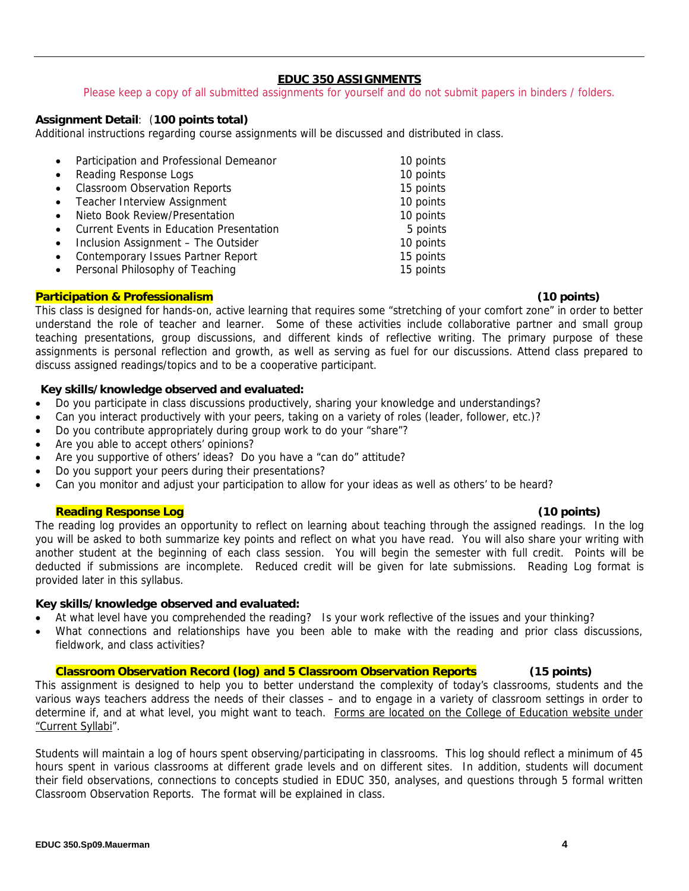# **EDUC 350 ASSIGNMENTS**

Please keep a copy of all submitted assignments for yourself and do not submit papers in binders / folders.

# **Assignment Detail**: (**100 points total)**

Additional instructions regarding course assignments will be discussed and distributed in class.

| $\bullet$ | Participation and Professional Demeanor         | 10 points |
|-----------|-------------------------------------------------|-----------|
| $\bullet$ | Reading Response Logs                           | 10 points |
| $\bullet$ | <b>Classroom Observation Reports</b>            | 15 points |
| $\bullet$ | <b>Teacher Interview Assignment</b>             | 10 points |
| $\bullet$ | Nieto Book Review/Presentation                  | 10 points |
| $\bullet$ | <b>Current Events in Education Presentation</b> | 5 points  |
| $\bullet$ | Inclusion Assignment - The Outsider             | 10 points |
| $\bullet$ | Contemporary Issues Partner Report              | 15 points |
| $\bullet$ | Personal Philosophy of Teaching                 | 15 points |

## **Participation & Professionalism (10 points)**

This class is designed for hands-on, active learning that requires some "stretching of your comfort zone" in order to better understand the role of teacher and learner. Some of these activities include collaborative partner and small group teaching presentations, group discussions, and different kinds of reflective writing. The primary purpose of these assignments is personal reflection and growth, as well as serving as fuel for our discussions. Attend class prepared to discuss assigned readings/topics and to be a cooperative participant.

# **Key skills/knowledge observed and evaluated:**

- Do you participate in class discussions productively, sharing your knowledge and understandings?
- Can you interact productively with your peers, taking on a variety of roles (leader, follower, etc.)?
- Do you contribute appropriately during group work to do your "share"?
- Are you able to accept others' opinions?
- Are you supportive of others' ideas? Do you have a "can do" attitude?
- Do you support your peers during their presentations?
- Can you monitor and adjust your participation to allow for your ideas as well as others' to be heard?

## **Reading Response Log (10 points)**

The reading log provides an opportunity to reflect on learning about teaching through the assigned readings. In the log you will be asked to both summarize key points and reflect on what you have read. You will also share your writing with another student at the beginning of each class session. You will begin the semester with full credit. Points will be deducted if submissions are incomplete. Reduced credit will be given for late submissions. Reading Log format is provided later in this syllabus.

## **Key skills/knowledge observed and evaluated:**

- At what level have you comprehended the reading? Is your work reflective of the issues and your thinking?
- What connections and relationships have you been able to make with the reading and prior class discussions, fieldwork, and class activities?

**Classroom Observation Record (log) and 5 Classroom Observation Reports (15 points)** 

This assignment is designed to help you to better understand the complexity of today's classrooms, students and the various ways teachers address the needs of their classes – and to engage in a variety of classroom settings in order to determine if, and at what level, you might want to teach. Forms are located on the College of Education website under "Current Syllabi".

Students will maintain a log of hours spent observing/participating in classrooms. This log should reflect a minimum of 45 hours spent in various classrooms at different grade levels and on different sites. In addition, students will document their field observations, connections to concepts studied in EDUC 350, analyses, and questions through 5 formal written Classroom Observation Reports. The format will be explained in class.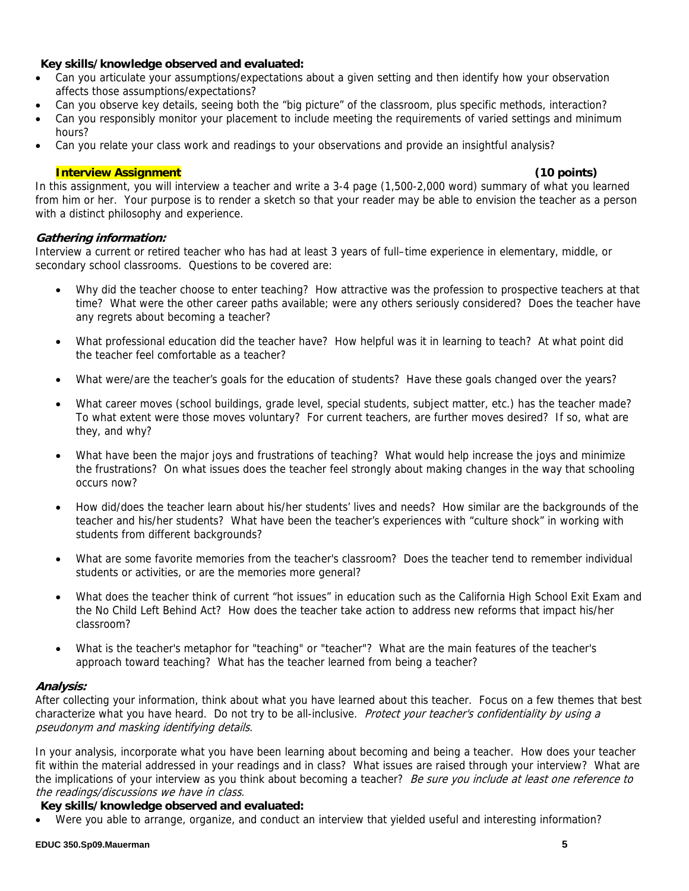# **Key skills/knowledge observed and evaluated:**

- Can you articulate your assumptions/expectations about a given setting and then identify how your observation affects those assumptions/expectations?
- Can you observe key details, seeing both the "big picture" of the classroom, plus specific methods, interaction?
- Can you responsibly monitor your placement to include meeting the requirements of varied settings and minimum hours?
- Can you relate your class work and readings to your observations and provide an insightful analysis?

# **Interview Assignment (10 points)**

In this assignment, you will interview a teacher and write a 3-4 page (1,500-2,000 word) summary of what you learned from him or her. Your purpose is to render a sketch so that your reader may be able to envision the teacher as a person with a distinct philosophy and experience.

# **Gathering information:**

Interview a current or retired teacher who has had at least 3 years of full–time experience in elementary, middle, or secondary school classrooms. Questions to be covered are:

- Why did the teacher choose to enter teaching? How attractive was the profession to prospective teachers at that time? What were the other career paths available; were any others seriously considered? Does the teacher have any regrets about becoming a teacher?
- What professional education did the teacher have? How helpful was it in learning to teach? At what point did the teacher feel comfortable as a teacher?
- What were/are the teacher's goals for the education of students? Have these goals changed over the years?
- What career moves (school buildings, grade level, special students, subject matter, etc.) has the teacher made? To what extent were those moves voluntary? For current teachers, are further moves desired? If so, what are they, and why?
- What have been the major joys and frustrations of teaching? What would help increase the joys and minimize the frustrations? On what issues does the teacher feel strongly about making changes in the way that schooling occurs now?
- How did/does the teacher learn about his/her students' lives and needs? How similar are the backgrounds of the teacher and his/her students? What have been the teacher's experiences with "culture shock" in working with students from different backgrounds?
- What are some favorite memories from the teacher's classroom? Does the teacher tend to remember individual students or activities, or are the memories more general?
- What does the teacher think of current "hot issues" in education such as the California High School Exit Exam and the No Child Left Behind Act? How does the teacher take action to address new reforms that impact his/her classroom?
- What is the teacher's metaphor for "teaching" or "teacher"? What are the main features of the teacher's approach toward teaching? What has the teacher learned from being a teacher?

# **Analysis:**

After collecting your information, think about what you have learned about this teacher. Focus on a few themes that best characterize what you have heard. Do not try to be all-inclusive. Protect your teacher's confidentiality by using a pseudonym and masking identifying details.

In your analysis, incorporate what you have been learning about becoming and being a teacher. How does your teacher fit within the material addressed in your readings and in class? What issues are raised through your interview? What are the implications of your interview as you think about becoming a teacher? Be sure you include at least one reference to the readings/discussions we have in class.

# **Key skills/knowledge observed and evaluated:**

Were you able to arrange, organize, and conduct an interview that yielded useful and interesting information?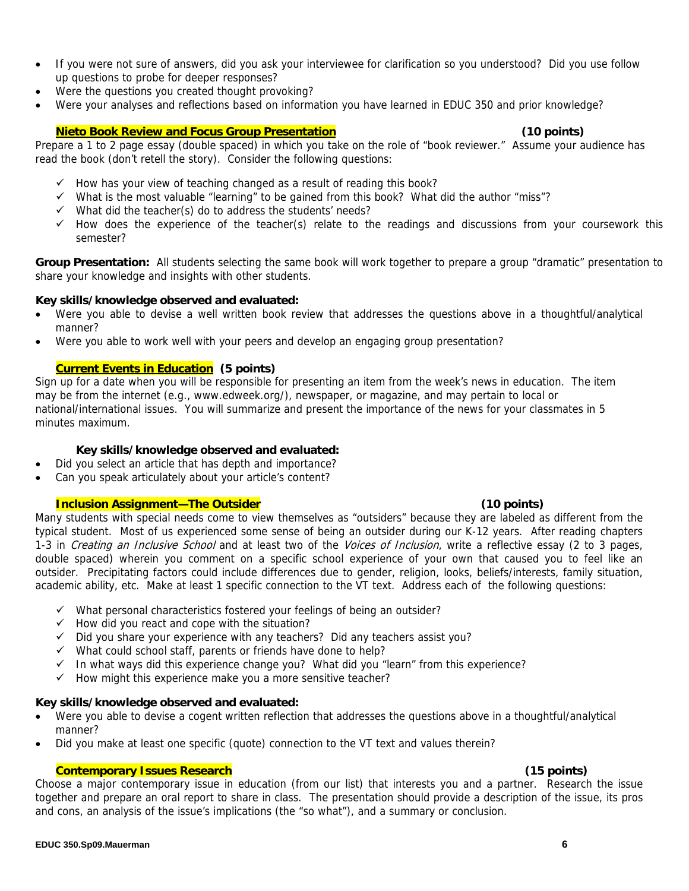- If you were not sure of answers, did you ask your interviewee for clarification so you understood? Did you use follow up questions to probe for deeper responses?
- Were the questions you created thought provoking?
- Were your analyses and reflections based on information you have learned in EDUC 350 and prior knowledge?

# **Nieto Book Review and Focus Group Presentation (10 points)**

Prepare a 1 to 2 page essay (double spaced) in which you take on the role of "book reviewer." Assume your audience has read the book (don't retell the story). Consider the following questions:

- $\checkmark$  How has your view of teaching changed as a result of reading this book?
- $\checkmark$  What is the most valuable "learning" to be gained from this book? What did the author "miss"?
- $\checkmark$  What did the teacher(s) do to address the students' needs?
- $\checkmark$  How does the experience of the teacher(s) relate to the readings and discussions from your coursework this semester?

**Group Presentation:** All students selecting the same book will work together to prepare a group "dramatic" presentation to share your knowledge and insights with other students.

# **Key skills/knowledge observed and evaluated:**

- • Were you able to devise a well written book review that addresses the questions above in a thoughtful/analytical manner?
- Were you able to work well with your peers and develop an engaging group presentation?

# **Current Events in Education (5 points)**

Sign up for a date when you will be responsible for presenting an item from the week's news in education. The item may be from the internet (e.g., www.edweek.org/), newspaper, or magazine, and may pertain to local or national/international issues. You will summarize and present the importance of the news for your classmates in 5 minutes maximum.

# **Key skills/knowledge observed and evaluated:**

- Did you select an article that has depth and importance?
- Can you speak articulately about your article's content?

# **Inclusion Assignment—The Outsider (10 points)**

Many students with special needs come to view themselves as "outsiders" because they are labeled as different from the typical student. Most of us experienced some sense of being an outsider during our K-12 years. After reading chapters 1-3 in Creating an Inclusive School and at least two of the Voices of Inclusion, write a reflective essay (2 to 3 pages, double spaced) wherein you comment on a specific school experience of your own that caused you to feel like an outsider. Precipitating factors could include differences due to gender, religion, looks, beliefs/interests, family situation, academic ability, etc. Make at least 1 specific connection to the VT text. Address each of the following questions:

- $\checkmark$  What personal characteristics fostered your feelings of being an outsider?
- $\checkmark$  How did you react and cope with the situation?
- $\checkmark$  Did you share your experience with any teachers? Did any teachers assist you?
- $\checkmark$  What could school staff, parents or friends have done to help?
- $\checkmark$  In what ways did this experience change you? What did you "learn" from this experience?
- $\checkmark$  How might this experience make you a more sensitive teacher?

## **Key skills/knowledge observed and evaluated:**

- Were you able to devise a cogent written reflection that addresses the questions above in a thoughtful/analytical manner?
- Did you make at least one specific (quote) connection to the VT text and values therein?

# **Contemporary Issues Research (15 points)**

 and cons, an analysis of the issue's implications (the "so what"), and a summary or conclusion. Choose a major contemporary issue in education (from our list) that interests you and a partner. Research the issue together and prepare an oral report to share in class. The presentation should provide a description of the issue, its pros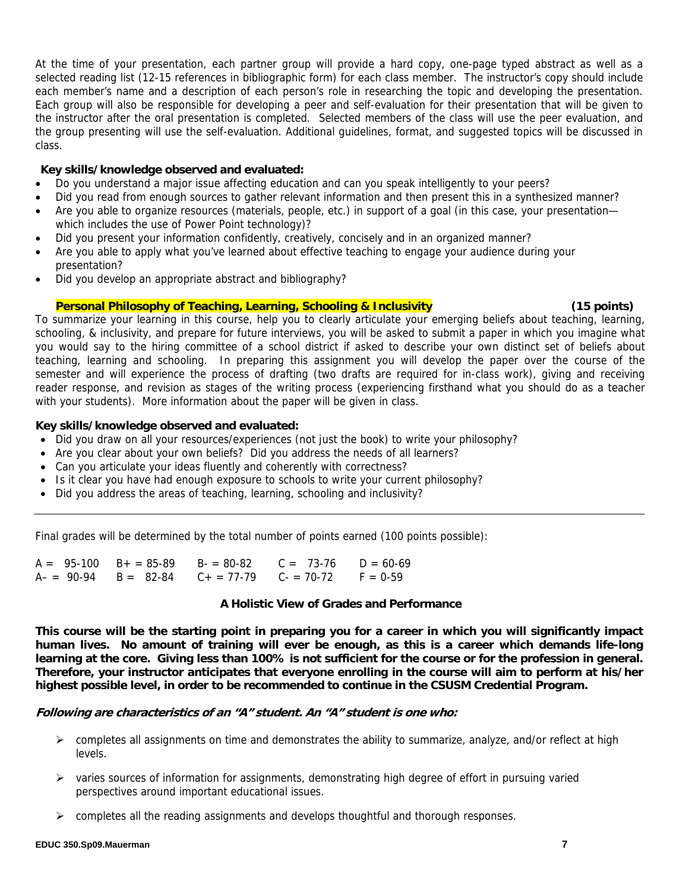At the time of your presentation, each partner group will provide a hard copy, one-page typed abstract as well as a selected reading list (12-15 references in bibliographic form) for each class member. The instructor's copy should include each member's name and a description of each person's role in researching the topic and developing the presentation. Each group will also be responsible for developing a peer and self-evaluation for their presentation that will be given to the instructor after the oral presentation is completed. Selected members of the class will use the peer evaluation, and the group presenting will use the self-evaluation. Additional guidelines, format, and suggested topics will be discussed in class.

# **Key skills/knowledge observed and evaluated:**

- Do you understand a major issue affecting education and can you speak intelligently to your peers?
- Did you read from enough sources to gather relevant information and then present this in a synthesized manner?
- Are you able to organize resources (materials, people, etc.) in support of a goal (in this case, your presentation which includes the use of Power Point technology)?
- Did you present your information confidently, creatively, concisely and in an organized manner?
- Are you able to apply what you've learned about effective teaching to engage your audience during your presentation?
- Did you develop an appropriate abstract and bibliography?

## **Personal Philosophy of Teaching, Learning, Schooling & Inclusivity (15 points)** (15 points)

To summarize your learning in this course, help you to clearly articulate your emerging beliefs about teaching, learning, schooling, & inclusivity, and prepare for future interviews, you will be asked to submit a paper in which you imagine what you would say to the hiring committee of a school district if asked to describe your own distinct set of beliefs about teaching, learning and schooling. In preparing this assignment you will develop the paper over the course of the semester and will experience the process of drafting (two drafts are required for in-class work), giving and receiving reader response, and revision as stages of the writing process (experiencing firsthand what you should do as a teacher with your students). More information about the paper will be given in class.

# **Key skills/knowledge observed and evaluated:**

- Did you draw on all your resources/experiences (not just the book) to write your philosophy?
- Are you clear about your own beliefs? Did you address the needs of all learners?
- Can you articulate your ideas fluently and coherently with correctness?
- Is it clear you have had enough exposure to schools to write your current philosophy?
- Did you address the areas of teaching, learning, schooling and inclusivity?

Final grades will be determined by the total number of points earned (100 points possible):

|  |  | $A = 95-100$ $B + = 85-89$ $B = 80-82$ $C = 73-76$ $D = 60-69$ |  |
|--|--|----------------------------------------------------------------|--|
|  |  | $A-$ = 90-94 B = 82-84 C + = 77-79 C - = 70-72 F = 0-59        |  |

## **A Holistic View of Grades and Performance**

**This course will be the starting point in preparing you for a career in which you will significantly impact human lives. No amount of training will ever be enough, as this is a career which demands life-long learning at the core. Giving less than 100% is not sufficient for the course or for the profession in general. Therefore, your instructor anticipates that everyone enrolling in the course will aim to perform at his/her highest possible level, in order to be recommended to continue in the CSUSM Credential Program.** 

## **Following are characteristics of an "A" student. An "A" student is one who:**

- $\triangleright$  completes all assignments on time and demonstrates the ability to summarize, analyze, and/or reflect at high levels.
- $\triangleright$  varies sources of information for assignments, demonstrating high degree of effort in pursuing varied perspectives around important educational issues.
- $\triangleright$  completes all the reading assignments and develops thoughtful and thorough responses.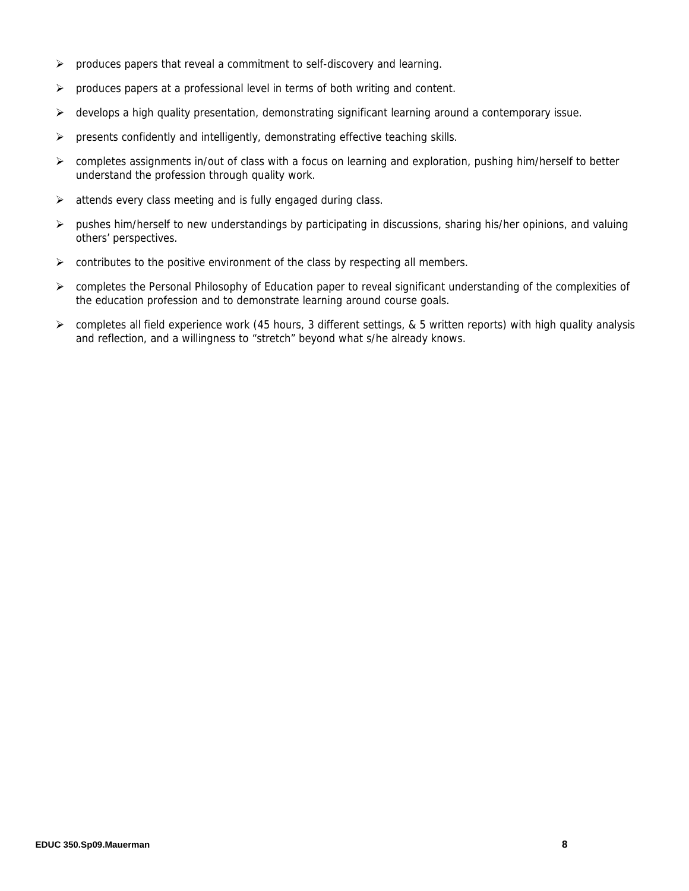- $\triangleright$  produces papers that reveal a commitment to self-discovery and learning.
- $\triangleright$  produces papers at a professional level in terms of both writing and content.
- $\triangleright$  develops a high quality presentation, demonstrating significant learning around a contemporary issue.
- $\triangleright$  presents confidently and intelligently, demonstrating effective teaching skills.
- ¾ completes assignments in/out of class with a focus on learning and exploration, pushing him/herself to better understand the profession through quality work.
- $\triangleright$  attends every class meeting and is fully engaged during class.
- $\triangleright$  pushes him/herself to new understandings by participating in discussions, sharing his/her opinions, and valuing others' perspectives.
- $\triangleright$  contributes to the positive environment of the class by respecting all members.
- ¾ completes the Personal Philosophy of Education paper to reveal significant understanding of the complexities of the education profession and to demonstrate learning around course goals.
- ¾ completes all field experience work (45 hours, 3 different settings, & 5 written reports) with high quality analysis and reflection, and a willingness to "stretch" beyond what s/he already knows.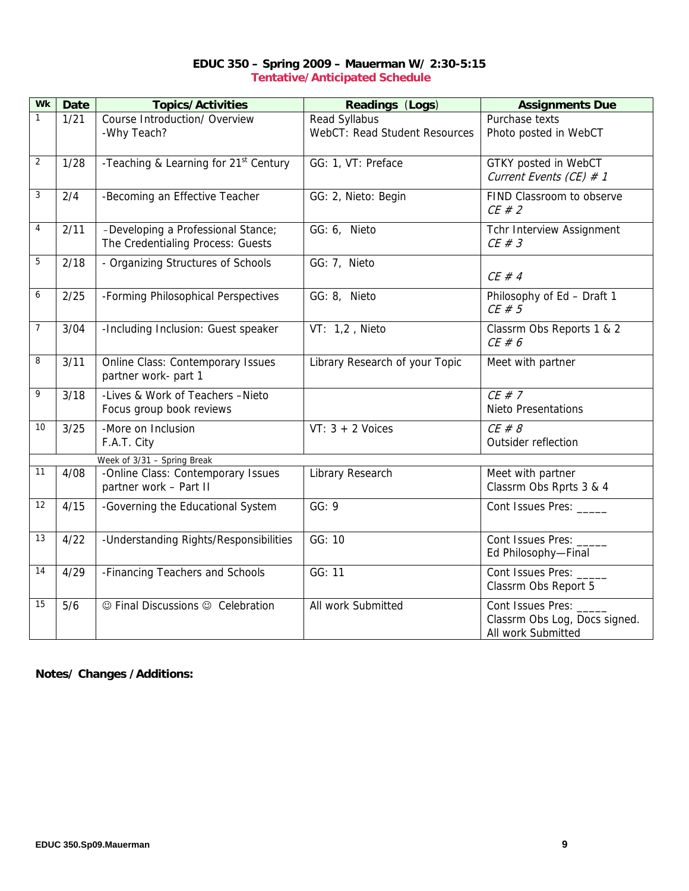| EDUC 350 - Spring 2009 - Mauerman W/ 2:30-5:15 |
|------------------------------------------------|
| <b>Tentative/Anticipated Schedule</b>          |

| <b>Wk</b> | <b>Date</b>                 | <b>Topics/Activities</b>                                                | Readings (Logs)                                       | <b>Assignments Due</b>                                                     |  |  |
|-----------|-----------------------------|-------------------------------------------------------------------------|-------------------------------------------------------|----------------------------------------------------------------------------|--|--|
| 1         | 1/21                        | Course Introduction/ Overview<br>-Why Teach?                            | Read Syllabus<br><b>WebCT: Read Student Resources</b> | Purchase texts<br>Photo posted in WebCT                                    |  |  |
| 2         | 1/28                        | -Teaching & Learning for 21 <sup>st</sup> Century                       | GG: 1, VT: Preface                                    | GTKY posted in WebCT<br>Current Events (CE) $# 1$                          |  |  |
| 3         | 2/4                         | -Becoming an Effective Teacher                                          | GG: 2, Nieto: Begin                                   | FIND Classroom to observe<br>$CE \# 2$                                     |  |  |
| 4         | 2/11                        | -Developing a Professional Stance;<br>The Credentialing Process: Guests | GG: 6, Nieto                                          | Tchr Interview Assignment<br>$CE \# 3$                                     |  |  |
| 5         | 2/18                        | - Organizing Structures of Schools                                      | GG: 7, Nieto                                          | $CE \# 4$                                                                  |  |  |
| 6         | 2/25                        | -Forming Philosophical Perspectives                                     | GG: 8, Nieto                                          | Philosophy of Ed - Draft 1<br>$CE \# 5$                                    |  |  |
| 7         | 3/04                        | -Including Inclusion: Guest speaker                                     | VT: 1,2, Nieto                                        | Classrm Obs Reports 1 & 2<br>$CE \# 6$                                     |  |  |
| 8         | 3/11                        | <b>Online Class: Contemporary Issues</b><br>partner work- part 1        | Library Research of your Topic                        | Meet with partner                                                          |  |  |
| 9         | 3/18                        | -Lives & Work of Teachers -Nieto<br>Focus group book reviews            |                                                       | $CE \# 7$<br><b>Nieto Presentations</b>                                    |  |  |
| 10        | 3/25                        | -More on Inclusion<br>F.A.T. City                                       | $VT: 3 + 2$ Voices                                    | $CE \# 8$<br>Outsider reflection                                           |  |  |
|           | Week of 3/31 - Spring Break |                                                                         |                                                       |                                                                            |  |  |
| 11        | 4/08                        | -Online Class: Contemporary Issues<br>partner work - Part II            | Library Research                                      | Meet with partner<br>Classrm Obs Rprts 3 & 4                               |  |  |
| 12        | 4/15                        | -Governing the Educational System                                       | GG: 9                                                 | Cont Issues Pres: _____                                                    |  |  |
| 13        | 4/22                        | -Understanding Rights/Responsibilities                                  | GG: 10                                                | Cont Issues Pres: _<br>Ed Philosophy-Final                                 |  |  |
| 14        | 4/29                        | -Financing Teachers and Schools                                         | GG: 11                                                | Cont Issues Pres:<br>Classrm Obs Report 5                                  |  |  |
| 15        | 5/6                         | © Final Discussions © Celebration                                       | All work Submitted                                    | Cont Issues Pres: _<br>Classrm Obs Log, Docs signed.<br>All work Submitted |  |  |

**Notes/ Changes /Additions:**